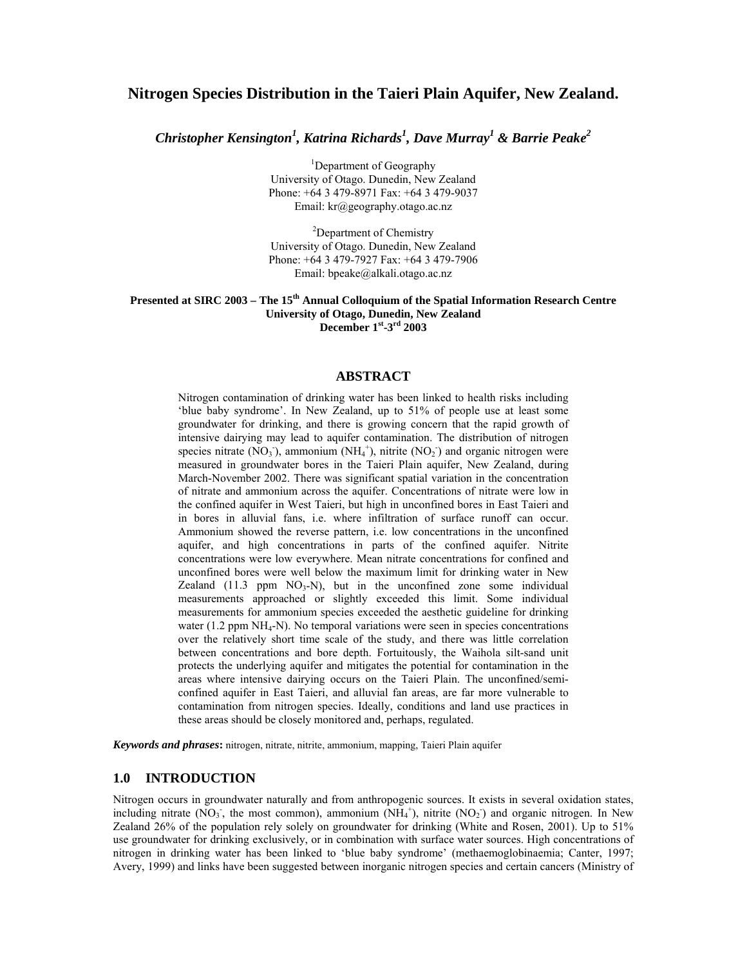# **Nitrogen Species Distribution in the Taieri Plain Aquifer, New Zealand.**

*Christopher Kensington1 , Katrina Richards<sup>1</sup> , Dave Murray<sup>1</sup> & Barrie Peake2*

<sup>1</sup>Department of Geography University of Otago. Dunedin, New Zealand Phone: +64 3 479-8971 Fax: +64 3 479-9037 Email: kr@geography.otago.ac.nz

<sup>2</sup>Department of Chemistry University of Otago. Dunedin, New Zealand Phone: +64 3 479-7927 Fax: +64 3 479-7906 Email: bpeake@alkali.otago.ac.nz

#### **Presented at SIRC 2003 – The 15th Annual Colloquium of the Spatial Information Research Centre University of Otago, Dunedin, New Zealand December 1st-3rd 2003**

#### **ABSTRACT**

Nitrogen contamination of drinking water has been linked to health risks including 'blue baby syndrome'. In New Zealand, up to 51% of people use at least some groundwater for drinking, and there is growing concern that the rapid growth of intensive dairying may lead to aquifer contamination. The distribution of nitrogen species nitrate  $(NO<sub>3</sub>)$ , ammonium  $(NH<sub>4</sub><sup>+</sup>)$ , nitrite  $(NO<sub>2</sub>)$  and organic nitrogen were measured in groundwater bores in the Taieri Plain aquifer, New Zealand, during March-November 2002. There was significant spatial variation in the concentration of nitrate and ammonium across the aquifer. Concentrations of nitrate were low in the confined aquifer in West Taieri, but high in unconfined bores in East Taieri and in bores in alluvial fans, i.e. where infiltration of surface runoff can occur. Ammonium showed the reverse pattern, i.e. low concentrations in the unconfined aquifer, and high concentrations in parts of the confined aquifer. Nitrite concentrations were low everywhere. Mean nitrate concentrations for confined and unconfined bores were well below the maximum limit for drinking water in New Zealand  $(11.3$  ppm  $NO<sub>3</sub>-N)$ , but in the unconfined zone some individual measurements approached or slightly exceeded this limit. Some individual measurements for ammonium species exceeded the aesthetic guideline for drinking water  $(1.2$  ppm  $NH<sub>4</sub>-N)$ . No temporal variations were seen in species concentrations over the relatively short time scale of the study, and there was little correlation between concentrations and bore depth. Fortuitously, the Waihola silt-sand unit protects the underlying aquifer and mitigates the potential for contamination in the areas where intensive dairying occurs on the Taieri Plain. The unconfined/semiconfined aquifer in East Taieri, and alluvial fan areas, are far more vulnerable to contamination from nitrogen species. Ideally, conditions and land use practices in these areas should be closely monitored and, perhaps, regulated.

*Keywords and phrases***:** nitrogen, nitrate, nitrite, ammonium, mapping, Taieri Plain aquifer

#### **1.0 INTRODUCTION**

Nitrogen occurs in groundwater naturally and from anthropogenic sources. It exists in several oxidation states, including nitrate  $(NO_3)$ , the most common), ammonium  $(NH_4^+)$ , nitrite  $(NO_2)$  and organic nitrogen. In New Zealand 26% of the population rely solely on groundwater for drinking (White and Rosen, 2001). Up to 51% use groundwater for drinking exclusively, or in combination with surface water sources. High concentrations of nitrogen in drinking water has been linked to 'blue baby syndrome' (methaemoglobinaemia; Canter, 1997; Avery, 1999) and links have been suggested between inorganic nitrogen species and certain cancers (Ministry of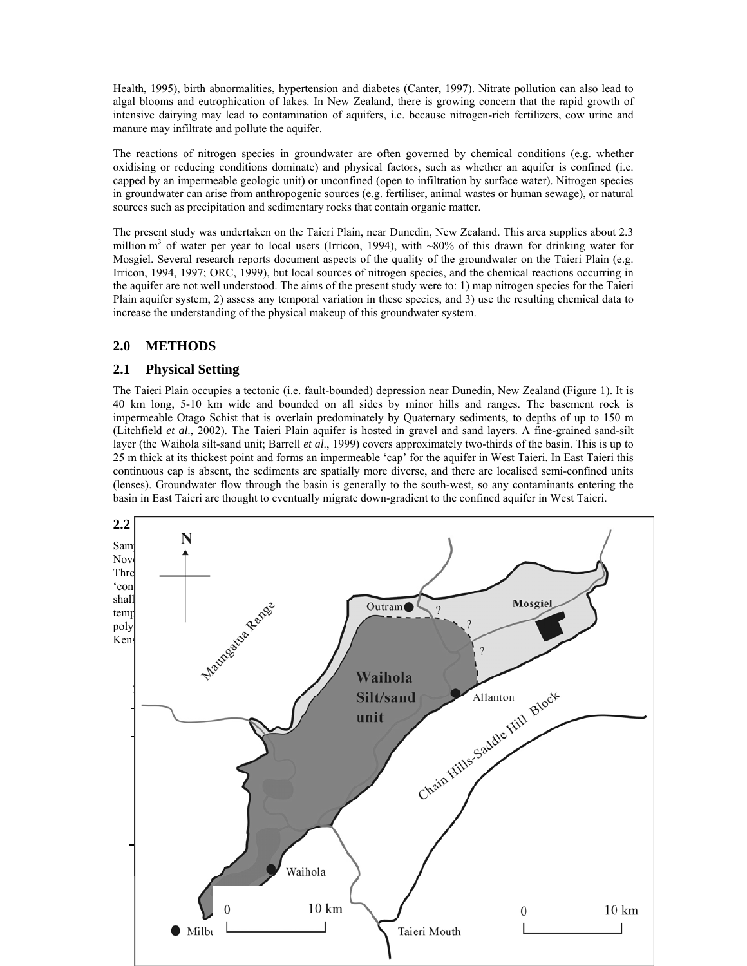Health, 1995), birth abnormalities, hypertension and diabetes (Canter, 1997). Nitrate pollution can also lead to algal blooms and eutrophication of lakes. In New Zealand, there is growing concern that the rapid growth of intensive dairying may lead to contamination of aquifers, i.e. because nitrogen-rich fertilizers, cow urine and manure may infiltrate and pollute the aquifer.

The reactions of nitrogen species in groundwater are often governed by chemical conditions (e.g. whether oxidising or reducing conditions dominate) and physical factors, such as whether an aquifer is confined (i.e. capped by an impermeable geologic unit) or unconfined (open to infiltration by surface water). Nitrogen species in groundwater can arise from anthropogenic sources (e.g. fertiliser, animal wastes or human sewage), or natural sources such as precipitation and sedimentary rocks that contain organic matter.

The present study was undertaken on the Taieri Plain, near Dunedin, New Zealand. This area supplies about 2.3 million m<sup>3</sup> of water per year to local users (Irricon, 1994), with ~80% of this drawn for drinking water for Mosgiel. Several research reports document aspects of the quality of the groundwater on the Taieri Plain (e.g. Irricon, 1994, 1997; ORC, 1999), but local sources of nitrogen species, and the chemical reactions occurring in the aquifer are not well understood. The aims of the present study were to: 1) map nitrogen species for the Taieri Plain aquifer system, 2) assess any temporal variation in these species, and 3) use the resulting chemical data to increase the understanding of the physical makeup of this groundwater system.

# **2.0 METHODS**

## **2.1 Physical Setting**

The Taieri Plain occupies a tectonic (i.e. fault-bounded) depression near Dunedin, New Zealand (Figure 1). It is 40 km long, 5-10 km wide and bounded on all sides by minor hills and ranges. The basement rock is impermeable Otago Schist that is overlain predominately by Quaternary sediments, to depths of up to 150 m (Litchfield *et al*., 2002). The Taieri Plain aquifer is hosted in gravel and sand layers. A fine-grained sand-silt layer (the Waihola silt-sand unit; Barrell *et al*., 1999) covers approximately two-thirds of the basin. This is up to 25 m thick at its thickest point and forms an impermeable 'cap' for the aquifer in West Taieri. In East Taieri this continuous cap is absent, the sediments are spatially more diverse, and there are localised semi-confined units (lenses). Groundwater flow through the basin is generally to the south-west, so any contaminants entering the basin in East Taieri are thought to eventually migrate down-gradient to the confined aquifer in West Taieri.

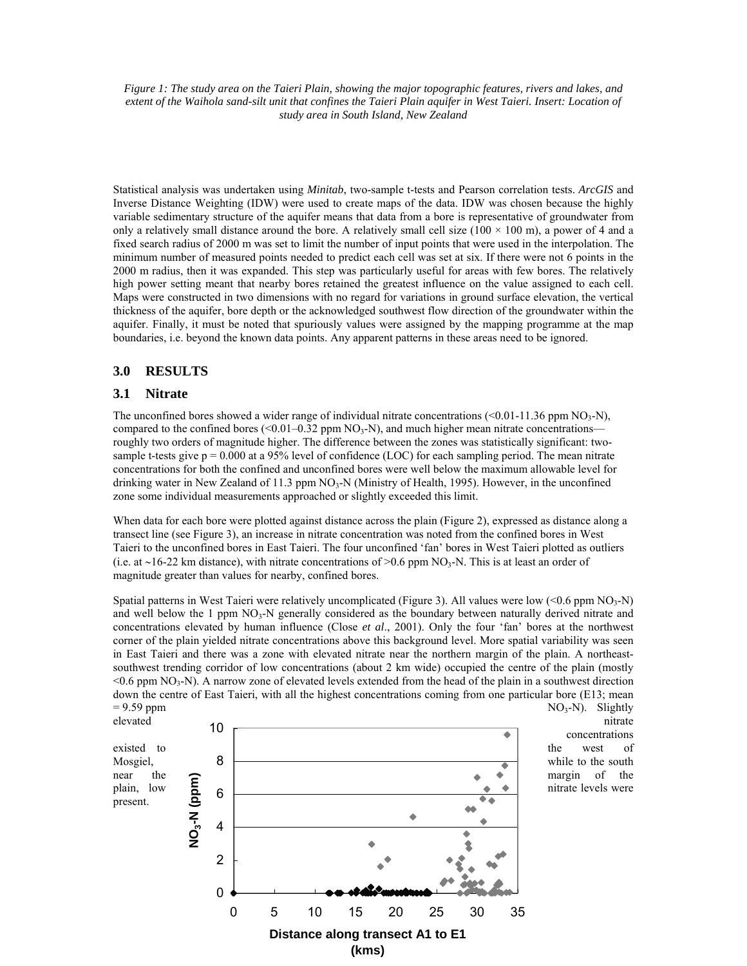*Figure 1: The study area on the Taieri Plain, showing the major topographic features, rivers and lakes, and extent of the Waihola sand-silt unit that confines the Taieri Plain aquifer in West Taieri. Insert: Location of study area in South Island, New Zealand*

Statistical analysis was undertaken using *Minitab*, two-sample t-tests and Pearson correlation tests. *ArcGIS* and Inverse Distance Weighting (IDW) were used to create maps of the data. IDW was chosen because the highly variable sedimentary structure of the aquifer means that data from a bore is representative of groundwater from only a relatively small distance around the bore. A relatively small cell size ( $100 \times 100$  m), a power of 4 and a fixed search radius of 2000 m was set to limit the number of input points that were used in the interpolation. The minimum number of measured points needed to predict each cell was set at six. If there were not 6 points in the 2000 m radius, then it was expanded. This step was particularly useful for areas with few bores. The relatively high power setting meant that nearby bores retained the greatest influence on the value assigned to each cell. Maps were constructed in two dimensions with no regard for variations in ground surface elevation, the vertical thickness of the aquifer, bore depth or the acknowledged southwest flow direction of the groundwater within the aquifer. Finally, it must be noted that spuriously values were assigned by the mapping programme at the map boundaries, i.e. beyond the known data points. Any apparent patterns in these areas need to be ignored.

### **3.0 RESULTS**

#### **3.1 Nitrate**

The unconfined bores showed a wider range of individual nitrate concentrations  $(<0.01-11.36$  ppm NO<sub>3</sub>-N), compared to the confined bores ( $\leq 0.01 - 0.32$  ppm NO<sub>3</sub>-N), and much higher mean nitrate concentrations roughly two orders of magnitude higher. The difference between the zones was statistically significant: twosample t-tests give  $p = 0.000$  at a 95% level of confidence (LOC) for each sampling period. The mean nitrate concentrations for both the confined and unconfined bores were well below the maximum allowable level for drinking water in New Zealand of 11.3 ppm  $NO<sub>3</sub>-N$  (Ministry of Health, 1995). However, in the unconfined zone some individual measurements approached or slightly exceeded this limit.

When data for each bore were plotted against distance across the plain (Figure 2), expressed as distance along a transect line (see Figure 3), an increase in nitrate concentration was noted from the confined bores in West Taieri to the unconfined bores in East Taieri. The four unconfined 'fan' bores in West Taieri plotted as outliers (i.e. at ∼16-22 km distance), with nitrate concentrations of >0.6 ppm NO3-N. This is at least an order of magnitude greater than values for nearby, confined bores.

Spatial patterns in West Taieri were relatively uncomplicated (Figure 3). All values were low  $(< 0.6$  ppm  $NO<sub>3</sub>-N)$ and well below the 1 ppm  $NO_3$ -N generally considered as the boundary between naturally derived nitrate and concentrations elevated by human influence (Close *et al*., 2001). Only the four 'fan' bores at the northwest corner of the plain yielded nitrate concentrations above this background level. More spatial variability was seen in East Taieri and there was a zone with elevated nitrate near the northern margin of the plain. A northeastsouthwest trending corridor of low concentrations (about 2 km wide) occupied the centre of the plain (mostly  $\leq 0.6$  ppm NO<sub>3</sub>-N). A narrow zone of elevated levels extended from the head of the plain in a southwest direction down the centre of East Taieri, with all the highest concentrations coming from one particular bore (E13; mean  $= 9.59$  ppm  $NQ_3-N$ ). Slightly



concentrations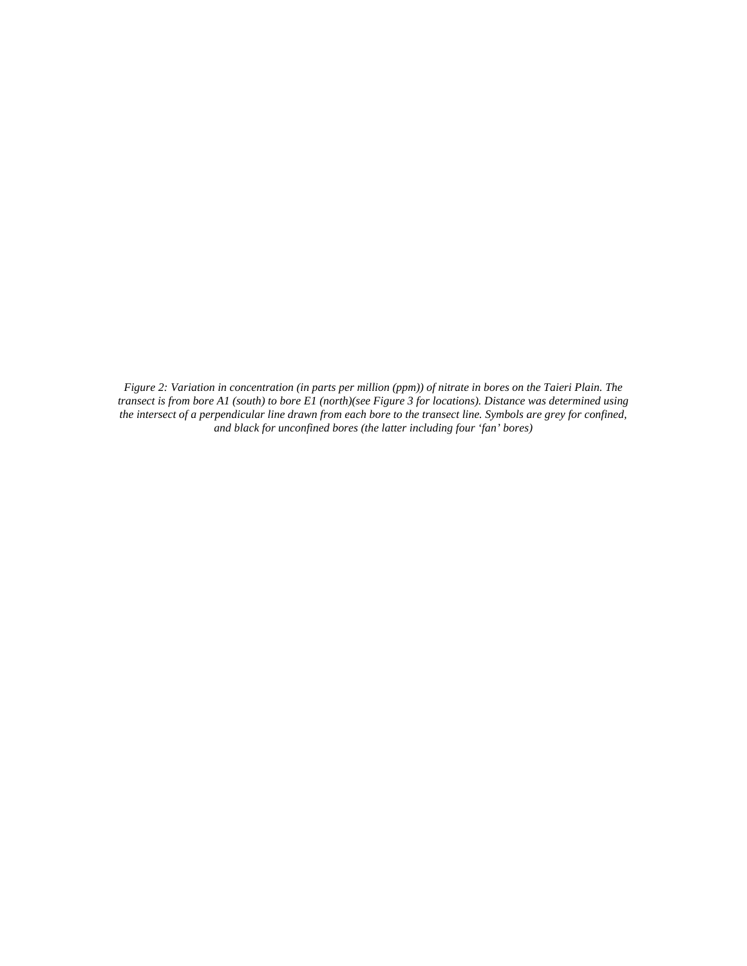*Figure 2: Variation in concentration (in parts per million (ppm)) of nitrate in bores on the Taieri Plain. The transect is from bore A1 (south) to bore E1 (north)(see Figure 3 for locations). Distance was determined using the intersect of a perpendicular line drawn from each bore to the transect line. Symbols are grey for confined, and black for unconfined bores (the latter including four 'fan' bores)*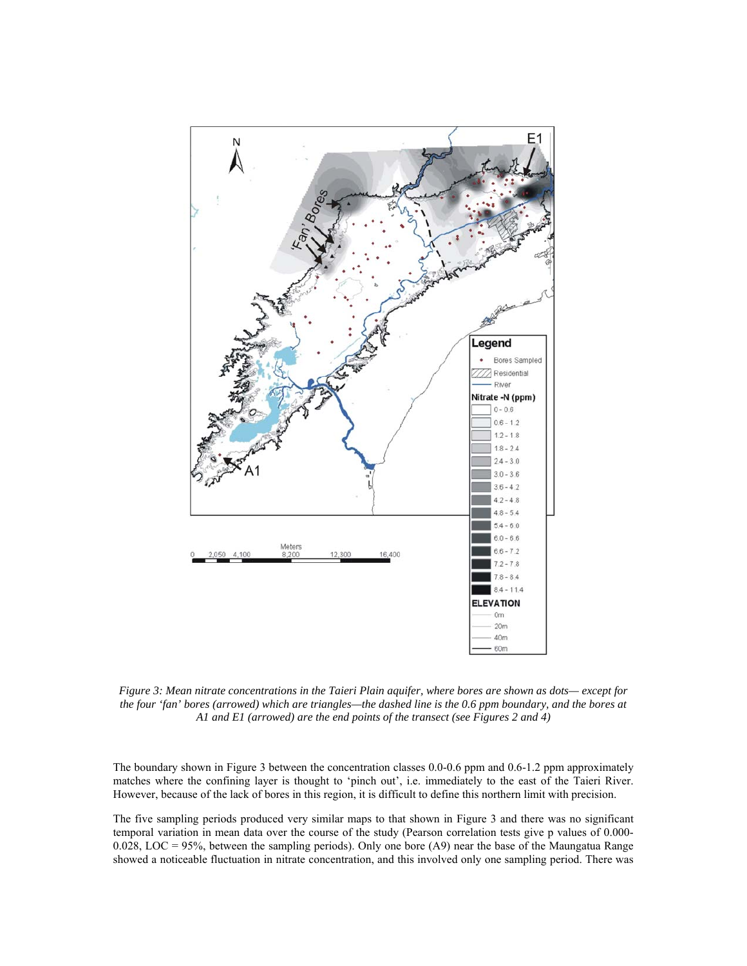

*Figure 3: Mean nitrate concentrations in the Taieri Plain aquifer, where bores are shown as dots— except for the four 'fan' bores (arrowed) which are triangles—the dashed line is the 0.6 ppm boundary, and the bores at A1 and E1 (arrowed) are the end points of the transect (see Figures 2 and 4)*

The boundary shown in Figure 3 between the concentration classes 0.0-0.6 ppm and 0.6-1.2 ppm approximately matches where the confining layer is thought to 'pinch out', i.e. immediately to the east of the Taieri River. However, because of the lack of bores in this region, it is difficult to define this northern limit with precision.

The five sampling periods produced very similar maps to that shown in Figure 3 and there was no significant temporal variation in mean data over the course of the study (Pearson correlation tests give p values of 0.000- 0.028, LOC = 95%, between the sampling periods). Only one bore (A9) near the base of the Maungatua Range showed a noticeable fluctuation in nitrate concentration, and this involved only one sampling period. There was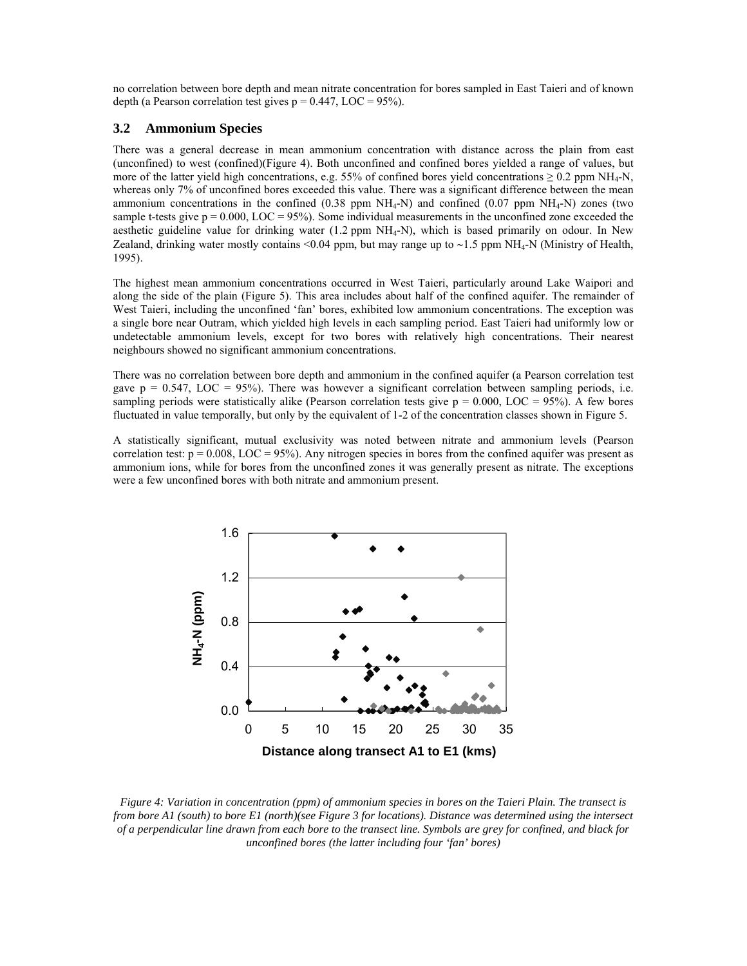no correlation between bore depth and mean nitrate concentration for bores sampled in East Taieri and of known depth (a Pearson correlation test gives  $p = 0.447$ , LOC = 95%).

### **3.2 Ammonium Species**

There was a general decrease in mean ammonium concentration with distance across the plain from east (unconfined) to west (confined)(Figure 4). Both unconfined and confined bores yielded a range of values, but more of the latter yield high concentrations, e.g. 55% of confined bores yield concentrations  $\geq 0.2$  ppm NH<sub>4</sub>-N, whereas only 7% of unconfined bores exceeded this value. There was a significant difference between the mean ammonium concentrations in the confined  $(0.38 \text{ ppm} \text{ NH}_4\text{-N})$  and confined  $(0.07 \text{ ppm} \text{ NH}_4\text{-N})$  zones (two sample t-tests give  $p = 0.000$ , LOC = 95%). Some individual measurements in the unconfined zone exceeded the aesthetic guideline value for drinking water  $(1.2$  ppm  $NH<sub>4</sub>-N)$ , which is based primarily on odour. In New Zealand, drinking water mostly contains <0.04 ppm, but may range up to ∼1.5 ppm NH4-N (Ministry of Health, 1995).

The highest mean ammonium concentrations occurred in West Taieri, particularly around Lake Waipori and along the side of the plain (Figure 5). This area includes about half of the confined aquifer. The remainder of West Taieri, including the unconfined 'fan' bores, exhibited low ammonium concentrations. The exception was a single bore near Outram, which yielded high levels in each sampling period. East Taieri had uniformly low or undetectable ammonium levels, except for two bores with relatively high concentrations. Their nearest neighbours showed no significant ammonium concentrations.

There was no correlation between bore depth and ammonium in the confined aquifer (a Pearson correlation test gave  $p = 0.547$ , LOC = 95%). There was however a significant correlation between sampling periods, i.e. sampling periods were statistically alike (Pearson correlation tests give  $p = 0.000$ , LOC = 95%). A few bores fluctuated in value temporally, but only by the equivalent of 1-2 of the concentration classes shown in Figure 5.

A statistically significant, mutual exclusivity was noted between nitrate and ammonium levels (Pearson correlation test:  $p = 0.008$ , LOC = 95%). Any nitrogen species in bores from the confined aquifer was present as ammonium ions, while for bores from the unconfined zones it was generally present as nitrate. The exceptions were a few unconfined bores with both nitrate and ammonium present.



*Figure 4: Variation in concentration (ppm) of ammonium species in bores on the Taieri Plain. The transect is from bore A1 (south) to bore E1 (north)(see Figure 3 for locations). Distance was determined using the intersect of a perpendicular line drawn from each bore to the transect line. Symbols are grey for confined, and black for unconfined bores (the latter including four 'fan' bores)*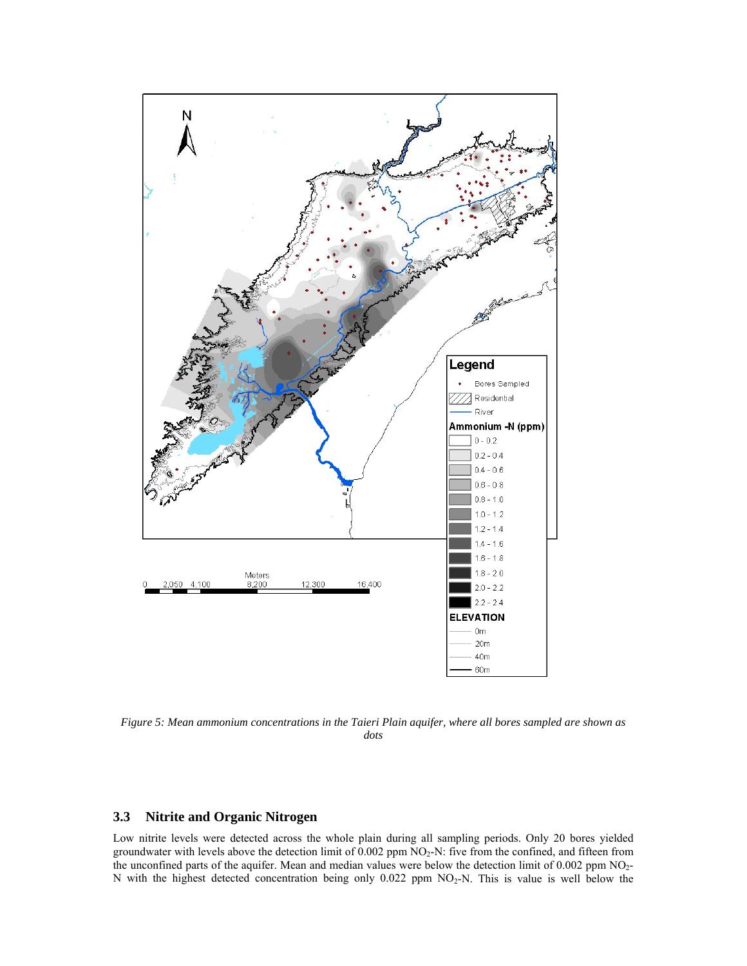

*Figure 5: Mean ammonium concentrations in the Taieri Plain aquifer, where all bores sampled are shown as dots* 

#### **3.3 Nitrite and Organic Nitrogen**

Low nitrite levels were detected across the whole plain during all sampling periods. Only 20 bores yielded groundwater with levels above the detection limit of  $0.002$  ppm  $NO<sub>2</sub>-N$ : five from the confined, and fifteen from the unconfined parts of the aquifer. Mean and median values were below the detection limit of 0.002 ppm NO<sub>2</sub>-N with the highest detected concentration being only  $0.022$  ppm NO<sub>2</sub>-N. This is value is well below the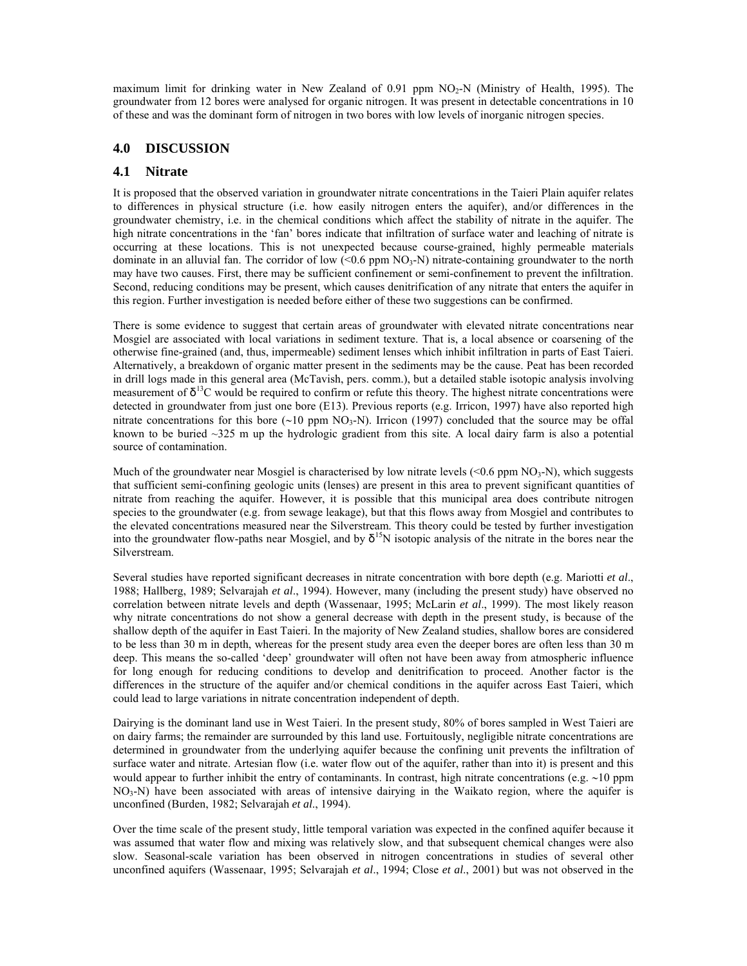maximum limit for drinking water in New Zealand of 0.91 ppm  $NO<sub>2</sub>-N$  (Ministry of Health, 1995). The groundwater from 12 bores were analysed for organic nitrogen. It was present in detectable concentrations in 10 of these and was the dominant form of nitrogen in two bores with low levels of inorganic nitrogen species.

### **4.0 DISCUSSION**

### **4.1 Nitrate**

It is proposed that the observed variation in groundwater nitrate concentrations in the Taieri Plain aquifer relates to differences in physical structure (i.e. how easily nitrogen enters the aquifer), and/or differences in the groundwater chemistry, i.e. in the chemical conditions which affect the stability of nitrate in the aquifer. The high nitrate concentrations in the 'fan' bores indicate that infiltration of surface water and leaching of nitrate is occurring at these locations. This is not unexpected because course-grained, highly permeable materials dominate in an alluvial fan. The corridor of low  $(<0.6$  ppm  $NO<sub>3</sub>-N)$  nitrate-containing groundwater to the north may have two causes. First, there may be sufficient confinement or semi-confinement to prevent the infiltration. Second, reducing conditions may be present, which causes denitrification of any nitrate that enters the aquifer in this region. Further investigation is needed before either of these two suggestions can be confirmed.

There is some evidence to suggest that certain areas of groundwater with elevated nitrate concentrations near Mosgiel are associated with local variations in sediment texture. That is, a local absence or coarsening of the otherwise fine-grained (and, thus, impermeable) sediment lenses which inhibit infiltration in parts of East Taieri. Alternatively, a breakdown of organic matter present in the sediments may be the cause. Peat has been recorded in drill logs made in this general area (McTavish, pers. comm.), but a detailed stable isotopic analysis involving measurement of  $\delta^{13}$ C would be required to confirm or refute this theory. The highest nitrate concentrations were detected in groundwater from just one bore (E13). Previous reports (e.g. Irricon, 1997) have also reported high nitrate concentrations for this bore (∼10 ppm NO<sub>3</sub>-N). Irricon (1997) concluded that the source may be offal known to be buried  $\sim$ 325 m up the hydrologic gradient from this site. A local dairy farm is also a potential source of contamination.

Much of the groundwater near Mosgiel is characterised by low nitrate levels  $(<0.6$  ppm  $NO<sub>3</sub>-N)$ , which suggests that sufficient semi-confining geologic units (lenses) are present in this area to prevent significant quantities of nitrate from reaching the aquifer. However, it is possible that this municipal area does contribute nitrogen species to the groundwater (e.g. from sewage leakage), but that this flows away from Mosgiel and contributes to the elevated concentrations measured near the Silverstream. This theory could be tested by further investigation into the groundwater flow-paths near Mosgiel, and by  $\delta^{15}N$  isotopic analysis of the nitrate in the bores near the Silverstream.

Several studies have reported significant decreases in nitrate concentration with bore depth (e.g. Mariotti *et al*., 1988; Hallberg, 1989; Selvarajah *et al*., 1994). However, many (including the present study) have observed no correlation between nitrate levels and depth (Wassenaar, 1995; McLarin *et al*., 1999). The most likely reason why nitrate concentrations do not show a general decrease with depth in the present study, is because of the shallow depth of the aquifer in East Taieri. In the majority of New Zealand studies, shallow bores are considered to be less than 30 m in depth, whereas for the present study area even the deeper bores are often less than 30 m deep. This means the so-called 'deep' groundwater will often not have been away from atmospheric influence for long enough for reducing conditions to develop and denitrification to proceed. Another factor is the differences in the structure of the aquifer and/or chemical conditions in the aquifer across East Taieri, which could lead to large variations in nitrate concentration independent of depth.

Dairying is the dominant land use in West Taieri. In the present study, 80% of bores sampled in West Taieri are on dairy farms; the remainder are surrounded by this land use. Fortuitously, negligible nitrate concentrations are determined in groundwater from the underlying aquifer because the confining unit prevents the infiltration of surface water and nitrate. Artesian flow (i.e. water flow out of the aquifer, rather than into it) is present and this would appear to further inhibit the entry of contaminants. In contrast, high nitrate concentrations (e.g. ∼10 ppm  $NO<sub>3</sub>-N$ ) have been associated with areas of intensive dairying in the Waikato region, where the aquifer is unconfined (Burden, 1982; Selvarajah *et al*., 1994).

Over the time scale of the present study, little temporal variation was expected in the confined aquifer because it was assumed that water flow and mixing was relatively slow, and that subsequent chemical changes were also slow. Seasonal-scale variation has been observed in nitrogen concentrations in studies of several other unconfined aquifers (Wassenaar, 1995; Selvarajah *et al*., 1994; Close *et al*., 2001) but was not observed in the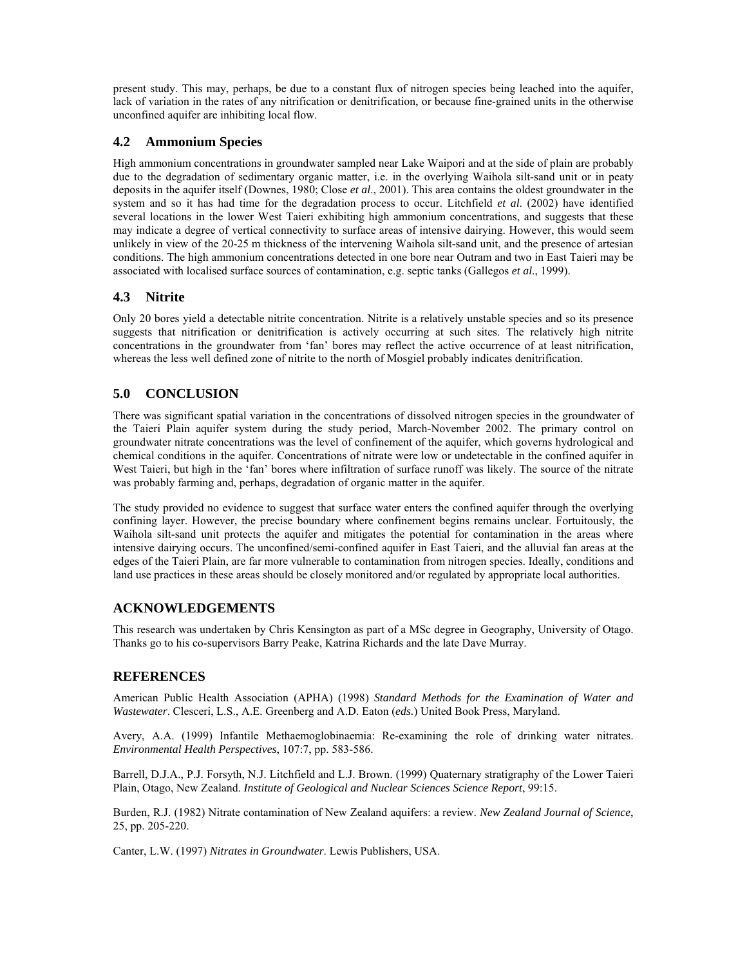present study. This may, perhaps, be due to a constant flux of nitrogen species being leached into the aquifer, lack of variation in the rates of any nitrification or denitrification, or because fine-grained units in the otherwise unconfined aquifer are inhibiting local flow.

### **4.2 Ammonium Species**

High ammonium concentrations in groundwater sampled near Lake Waipori and at the side of plain are probably due to the degradation of sedimentary organic matter, i.e. in the overlying Waihola silt-sand unit or in peaty deposits in the aquifer itself (Downes, 1980; Close *et al*., 2001). This area contains the oldest groundwater in the system and so it has had time for the degradation process to occur. Litchfield *et al*. (2002) have identified several locations in the lower West Taieri exhibiting high ammonium concentrations, and suggests that these may indicate a degree of vertical connectivity to surface areas of intensive dairying. However, this would seem unlikely in view of the 20-25 m thickness of the intervening Waihola silt-sand unit, and the presence of artesian conditions. The high ammonium concentrations detected in one bore near Outram and two in East Taieri may be associated with localised surface sources of contamination, e.g. septic tanks (Gallegos *et al*., 1999).

### **4.3 Nitrite**

Only 20 bores yield a detectable nitrite concentration. Nitrite is a relatively unstable species and so its presence suggests that nitrification or denitrification is actively occurring at such sites. The relatively high nitrite concentrations in the groundwater from 'fan' bores may reflect the active occurrence of at least nitrification, whereas the less well defined zone of nitrite to the north of Mosgiel probably indicates denitrification.

# **5.0 CONCLUSION**

There was significant spatial variation in the concentrations of dissolved nitrogen species in the groundwater of the Taieri Plain aquifer system during the study period, March-November 2002. The primary control on groundwater nitrate concentrations was the level of confinement of the aquifer, which governs hydrological and chemical conditions in the aquifer. Concentrations of nitrate were low or undetectable in the confined aquifer in West Taieri, but high in the 'fan' bores where infiltration of surface runoff was likely. The source of the nitrate was probably farming and, perhaps, degradation of organic matter in the aquifer.

The study provided no evidence to suggest that surface water enters the confined aquifer through the overlying confining layer. However, the precise boundary where confinement begins remains unclear. Fortuitously, the Waihola silt-sand unit protects the aquifer and mitigates the potential for contamination in the areas where intensive dairying occurs. The unconfined/semi-confined aquifer in East Taieri, and the alluvial fan areas at the edges of the Taieri Plain, are far more vulnerable to contamination from nitrogen species. Ideally, conditions and land use practices in these areas should be closely monitored and/or regulated by appropriate local authorities.

### **ACKNOWLEDGEMENTS**

This research was undertaken by Chris Kensington as part of a MSc degree in Geography, University of Otago. Thanks go to his co-supervisors Barry Peake, Katrina Richards and the late Dave Murray.

### **REFERENCES**

American Public Health Association (APHA) (1998) *Standard Methods for the Examination of Water and Wastewater*. Clesceri, L.S., A.E. Greenberg and A.D. Eaton (*eds.*) United Book Press, Maryland.

Avery, A.A. (1999) Infantile Methaemoglobinaemia: Re-examining the role of drinking water nitrates. *Environmental Health Perspectives*, 107:7, pp. 583-586.

Barrell, D.J.A., P.J. Forsyth, N.J. Litchfield and L.J. Brown. (1999) Quaternary stratigraphy of the Lower Taieri Plain, Otago, New Zealand. *Institute of Geological and Nuclear Sciences Science Report*, 99:15.

Burden, R.J. (1982) Nitrate contamination of New Zealand aquifers: a review. *New Zealand Journal of Science*, 25, pp. 205-220.

Canter, L.W. (1997) *Nitrates in Groundwater*. Lewis Publishers, USA.